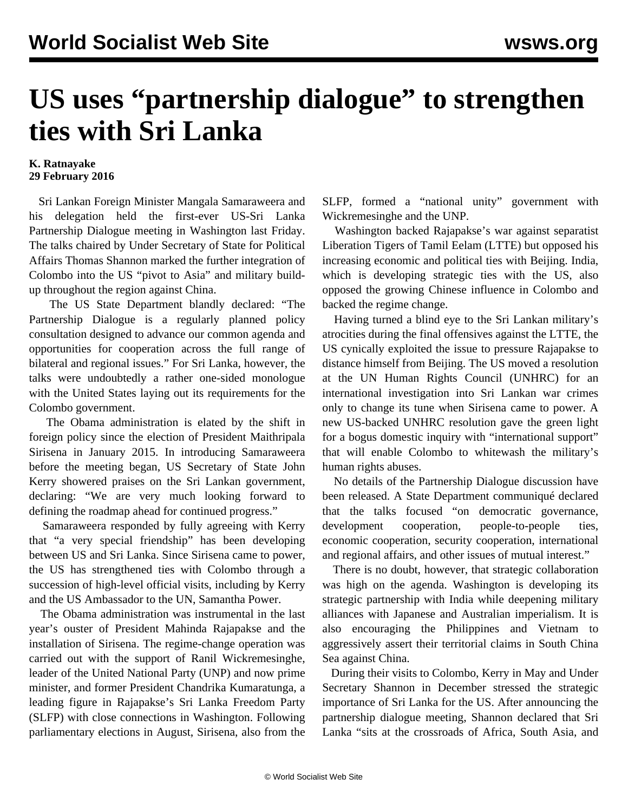## **US uses "partnership dialogue" to strengthen ties with Sri Lanka**

## **K. Ratnayake 29 February 2016**

 Sri Lankan Foreign Minister Mangala Samaraweera and his delegation held the first-ever US-Sri Lanka Partnership Dialogue meeting in Washington last Friday. The talks chaired by Under Secretary of State for Political Affairs Thomas Shannon marked the further integration of Colombo into the US "pivot to Asia" and military buildup throughout the region against China.

 The US State Department blandly declared: "The Partnership Dialogue is a regularly planned policy consultation designed to advance our common agenda and opportunities for cooperation across the full range of bilateral and regional issues." For Sri Lanka, however, the talks were undoubtedly a rather one-sided monologue with the United States laying out its requirements for the Colombo government.

 The Obama administration is elated by the shift in foreign policy since the election of President Maithripala Sirisena in January 2015. In introducing Samaraweera before the meeting began, US Secretary of State John Kerry showered praises on the Sri Lankan government, declaring: "We are very much looking forward to defining the roadmap ahead for continued progress."

 Samaraweera responded by fully agreeing with Kerry that "a very special friendship" has been developing between US and Sri Lanka. Since Sirisena came to power, the US has strengthened ties with Colombo through a succession of high-level official visits, including by Kerry and the US Ambassador to the UN, Samantha Power.

 The Obama administration was instrumental in the last year's ouster of President Mahinda Rajapakse and the installation of Sirisena. The regime-change operation was carried out with the support of Ranil Wickremesinghe, leader of the United National Party (UNP) and now prime minister, and former President Chandrika Kumaratunga, a leading figure in Rajapakse's Sri Lanka Freedom Party (SLFP) with close connections in Washington. Following parliamentary elections in August, Sirisena, also from the SLFP, formed a "national unity" government with Wickremesinghe and the UNP.

 Washington backed Rajapakse's war against separatist Liberation Tigers of Tamil Eelam (LTTE) but opposed his increasing economic and political ties with Beijing. India, which is developing strategic ties with the US, also opposed the growing Chinese influence in Colombo and backed the regime change.

 Having turned a blind eye to the Sri Lankan military's atrocities during the final offensives against the LTTE, the US cynically exploited the issue to pressure Rajapakse to distance himself from Beijing. The US moved a resolution at the UN Human Rights Council (UNHRC) for an international investigation into Sri Lankan war crimes only to change its tune when Sirisena came to power. A new US-backed UNHRC resolution gave the green light for a bogus domestic inquiry with "international support" that will enable Colombo to whitewash the military's human rights abuses.

 No details of the Partnership Dialogue discussion have been released. A State Department communiqué declared that the talks focused "on democratic governance, development cooperation, people-to-people ties, economic cooperation, security cooperation, international and regional affairs, and other issues of mutual interest."

 There is no doubt, however, that strategic collaboration was high on the agenda. Washington is developing its strategic partnership with India while deepening military alliances with Japanese and Australian imperialism. It is also encouraging the Philippines and Vietnam to aggressively assert their territorial claims in South China Sea against China.

 During their visits to Colombo, Kerry in May and Under Secretary Shannon in December stressed the strategic importance of Sri Lanka for the US. After announcing the partnership dialogue meeting, Shannon declared that Sri Lanka "sits at the crossroads of Africa, South Asia, and